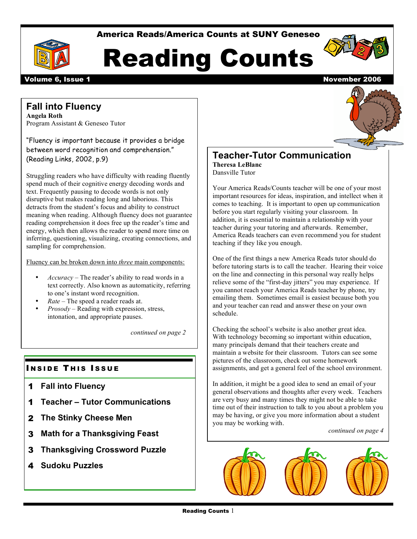America Reads/America Counts at SUNY Geneseo







Volume 6, Issue 1 November 2006

# **Fall into Fluency**

**Angela Roth** Program Assistant & Geneseo Tutor

"Fluency is important because it provides a bridge between word recognition and comprehension." (Reading Links, 2002, p.9)

Struggling readers who have difficulty with reading fluently spend much of their cognitive energy decoding words and text. Frequently pausing to decode words is not only disruptive but makes reading long and laborious. This detracts from the student's focus and ability to construct meaning when reading. Although fluency does not guarantee reading comprehension it does free up the reader's time and energy, which then allows the reader to spend more time on inferring, questioning, visualizing, creating connections, and sampling for comprehension.

Fluency can be broken down into *three* main components:

- *Accuracy* The reader's ability to read words in a text correctly. Also known as automaticity, referring to one's instant word recognition.
- *Rate* The speed a reader reads at.
- *Prosody* Reading with expression, stress, intonation, and appropriate pauses.

*continued on page 2*

## **INSIDE THIS ISSUE**

- 1 **Fall into Fluency**
- 1 **Teacher – Tutor Communications**
- 2 **The Stinky Cheese Men**
- 3 **Math for a Thanksgiving Feast**
- 3 **Thanksgiving Crossword Puzzle**
- 4 **Sudoku Puzzles**



#### **Teacher-Tutor Communication Theresa LeBlanc** Dansville Tutor

Your America Reads/Counts teacher will be one of your most important resources for ideas, inspiration, and intellect when it comes to teaching. It is important to open up communication before you start regularly visiting your classroom. In addition, it is essential to maintain a relationship with your teacher during your tutoring and afterwards. Remember, America Reads teachers can even recommend you for student teaching if they like you enough.

One of the first things a new America Reads tutor should do before tutoring starts is to call the teacher. Hearing their voice on the line and connecting in this personal way really helps relieve some of the "first-day jitters" you may experience. If you cannot reach your America Reads teacher by phone, try emailing them. Sometimes email is easiest because both you and your teacher can read and answer these on your own schedule.

Checking the school's website is also another great idea. With technology becoming so important within education, many principals demand that their teachers create and maintain a website for their classroom. Tutors can see some pictures of the classroom, check out some homework assignments, and get a general feel of the school environment.

In addition, it might be a good idea to send an email of your general observations and thoughts after every week. Teachers are very busy and many times they might not be able to take time out of their instruction to talk to you about a problem you may be having, or give you more information about a student you may be working with.

*continued on page 4*

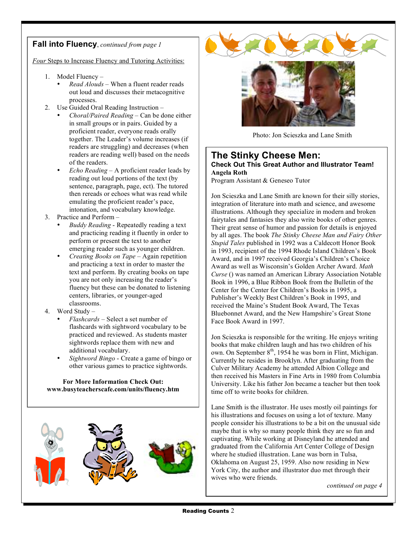# **Fall into Fluency**, *continued from page 1*

*Four* Steps to Increase Fluency and Tutoring Activities:

- 1. Model Fluency
	- *Read Alouds* When a fluent reader reads out loud and discusses their metacognitive processes.
- 2. Use Guided Oral Reading Instruction
	- *Choral/Paired Reading* Can be done either in small groups or in pairs. Guided by a proficient reader, everyone reads orally together. The Leader's volume increases (if readers are struggling) and decreases (when readers are reading well) based on the needs of the readers.
	- *Echo Reading* A proficient reader leads by reading out loud portions of the text (by sentence, paragraph, page, ect). The tutored then rereads or echoes what was read while emulating the proficient reader's pace, intonation, and vocabulary knowledge.
- 3. Practice and Perform
	- *Buddy Reading* Repeatedly reading a text and practicing reading it fluently in order to perform or present the text to another emerging reader such as younger children.
	- *Creating Books on Tape* Again repetition and practicing a text in order to master the text and perform. By creating books on tape you are not only increasing the reader's fluency but these can be donated to listening centers, libraries, or younger-aged classrooms.
- 4. Word Study
	- *Flashcards* Select a set number of flashcards with sightword vocabulary to be practiced and reviewed. As students master sightwords replace them with new and additional vocabulary.
	- *Sightword Bingo* Create a game of bingo or other various games to practice sightwords.

**For More Information Check Out: www.busyteacherscafe.com/units/fluency.htm**







Photo: Jon Scieszka and Lane Smith

#### **The Stinky Cheese Men: Check Out This Great Author and Illustrator Team! Angela Roth**

Program Assistant & Geneseo Tutor

Jon Scieszka and Lane Smith are known for their silly stories, integration of literature into math and science, and awesome illustrations. Although they specialize in modern and broken fairytales and fantasies they also write books of other genres. Their great sense of humor and passion for details is enjoyed by all ages. The book *The Stinky Cheese Man and Fairy Other Stupid Tales* published in 1992 was a Caldecott Honor Book in 1993, recipient of the 1994 Rhode Island Children's Book Award, and in 1997 received Georgia's Children's Choice Award as well as Wisconsin's Golden Archer Award. *Math Curse* () was named an American Library Association Notable Book in 1996, a Blue Ribbon Book from the Bulletin of the Center for the Center for Children's Books in 1995, a Publisher's Weekly Best Children's Book in 1995, and received the Maine's Student Book Award, The Texas Bluebonnet Award, and the New Hampshire's Great Stone Face Book Award in 1997.

Jon Scieszka is responsible for the writing. He enjoys writing books that make children laugh and has two children of his own. On September 8<sup>th</sup>, 1954 he was born in Flint, Michigan. Currently he resides in Brooklyn. After graduating from the Culver Military Academy he attended Albion College and then received his Masters in Fine Arts in 1980 from Columbia University. Like his father Jon became a teacher but then took time off to write books for children.

Lane Smith is the illustrator. He uses mostly oil paintings for his illustrations and focuses on using a lot of texture. Many people consider his illustrations to be a bit on the unusual side maybe that is why so many people think they are so fun and captivating. While working at Disneyland he attended and graduated from the California Art Center College of Design where he studied illustration. Lane was born in Tulsa, Oklahoma on August 25, 1959. Also now residing in New York City, the author and illustrator duo met through their wives who were friends.

*continued on page 4*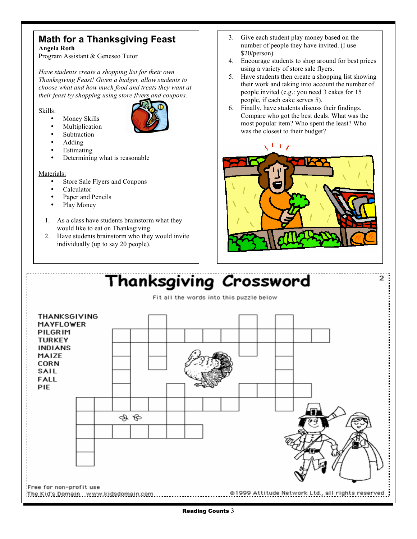# **Math for a Thanksgiving Feast Angela Roth**

Program Assistant & Geneseo Tutor

*Have students create a shopping list for their own Thanksgiving Feast! Given a budget, allow students to choose what and how much food and treats they want at their feast by shopping using store flyers and coupons.*

Skills:

- Money Skills
- **Multiplication**



- **Subtraction** • Adding
- **Estimating**
- Determining what is reasonable

Materials:

- Store Sale Flyers and Coupons
- Calculator
- Paper and Pencils
- Play Money
- 1. As a class have students brainstorm what they would like to eat on Thanksgiving.
- 2. Have students brainstorm who they would invite individually (up to say 20 people).
- 3. Give each student play money based on the number of people they have invited. (I use \$20/person)
- 4. Encourage students to shop around for best prices using a variety of store sale flyers.
- 5. Have students then create a shopping list showing their work and taking into account the number of people invited (e.g.: you need 3 cakes for 15 people, if each cake serves 5).
- 6. Finally, have students discuss their findings. Compare who got the best deals. What was the most popular item? Who spent the least? Who was the closest to their budget?